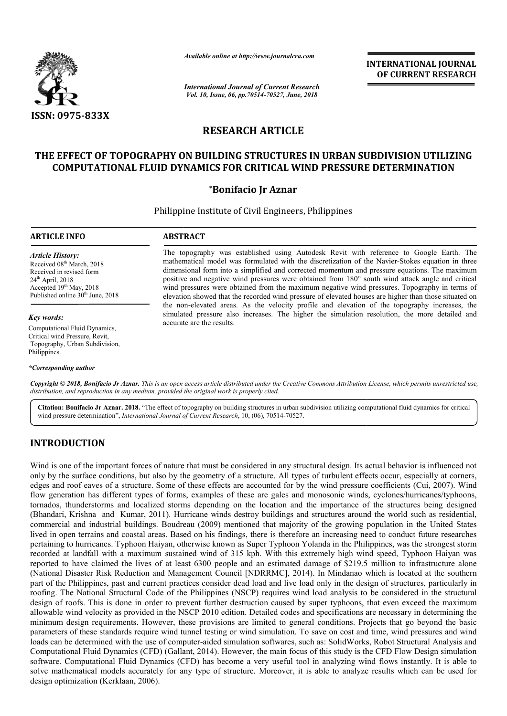

*Available online at http://www.journalcra.com*

*International Journal of Current Research Vol. 10, Issue, 06, pp.70514-70527, June, 2018*

**INTERNATIONAL JOURNAL OF CURRENT RESEARCH**

# **RESEARCH ARTICLE**

## **THE EFFECT OF TOPOGRAPHY ON BUILDING STRUCTURES IN URBAN SUBDIVISION UTILIZING COMPUTATIONAL FLUID DYNAMICS FOR CRITICAL WIND PRESSURE DETERMINATION**

## **\*Bonifacio Jr Aznar**

Philippine Institute of Civil Engineers, Philippines

#### **ARTICLE INFO ABSTRACT**

*Article History:* Received 08<sup>th</sup> March, 2018 Received in revised form  $24<sup>th</sup>$  April,  $2018$ Accepted 19<sup>th</sup> May, 2018 Published online  $30<sup>th</sup>$  June, 2018

*Key words:*

Computational Fluid Dynamics, Critical wind Pressure, Revit, Topography, Urban Subdivision, Philippines.

*\*Corresponding author*

The topography was established using Autodesk Revit with reference to Google Earth. The The topography was established using Autodesk Revit with reference to Google Earth. The mathematical model was formulated with the discretization of the Navier-Stokes equation in three dimensional form into a simplified and corrected momentum and pressure equations. The maximum positive and negative wind pressures were obtained from 180° south wind attack angle and critical wind pressures were obtained from the maximum negative wind pressures. Topography in terms of elevation showed that the recorded wind pressure of elevated houses are higher than those situated on the non-elevated areas. As the velocity profile and elevation of simulated pressure also increases. The higher the simulation resolution, the more detailed and accurate are the results. dimensional form into a simplified and corrected momentum and pressure equations. The maximum positive and negative wind pressures were obtained from the maximum negative wind pressures. Topography in terms of elevation sh

Copyright © 2018, Bonifacio Jr Aznar. This is an open access article distributed under the Creative Commons Attribution License, which permits unrestricted use, *distribution, and reproduction in any medium, provided the original work is properly cited.*

Citation: Bonifacio Jr Aznar. 2018. "The effect of topography on building structures in urban subdivision utilizing computational fluid dynamics for critical wind pressure determination", *International Journal of Current Research*, 10, (06), 70514-70527.

# **INTRODUCTION**

Wind is one of the important forces of nature that must be considered in any structural design. Its actual behavior is influenced not only by the surface conditions, but also by the geometry of a structure. All types of turbulent effects occur, especially at corners, edges and roof eaves of a structure. Some of these effects are accounted for by the wind pressure coefficients (Cui, 2007). Wind flow generation has different types of forms, examples of these are gales and monosonic winds, cyclones/hurricanes/typhoons, tornados, thunderstorms and localized storms depending on the location and the importance of the structures being designed tornados, thunderstorms and localized storms depending on the location and the importance of the structures being designed<br>(Bhandari, Krishna and Kumar, 2011). Hurricane winds destroy buildings and structures around the wo commercial and industrial buildings. Boudreau (2009) mentioned that majority of the growing population in the United States commercial and industrial buildings. Boudreau (2009) mentioned that majority of the growing population in the United States<br>lived in open terrains and coastal areas. Based on his findings, there is therefore an increasing pertaining to hurricanes. Typhoon Haiyan, otherwise known as Super Typhoon Yolanda in the Philippines, was the strongest storm recorded at landfall with a maximum sustained wind of 315 kph. With this extremely high wind speed, Typhoon Haiyan was reported to have claimed the lives of at least 6300 people and an estimated damage of \$219.5 million to infrastructure alone (National Disaster Risk Reduction and Management Council [NDRRMC], 2014). In Mindanao which is located at the southern part of the Philippines, past and current practices consider dead load and live load only in the design of structures, particularly in roofing. The National Structural Code of the Philippines (NSCP) requires wind load analysis to be considered in the structural design of roofs. This is done in order to prevent further destruction caused by super typhoons, that even exceed the maximum allowable wind velocity as provided in the NSCP 2010 edition. Detailed codes and specifications are necessary in determining the minimum design requirements. However, these provisions are limited to general conditions. Projects that go beyond the basic parameters of these standards require wind tunnel testing or wind simulation. To save on cost and time, wind pressures and wi loads can be determined with the use of computer-aided simulation softwares, such as: SolidWorks, Robot Structural Analysis and Computational Fluid Dynamics (CFD) (Gallant, 2014). However, the main focus of this study is the CFD Flow Design simulation software. Computational Fluid Dynamics (CFD) has become a very useful tool in analyzing wind flows instantly. It is able to solve mathematical models accurately for any type of structure. Moreover, it is able to analyze results which can be used for design optimization (Kerklaan, 2006). inimum design requirements. However, these provisions are limited to general conditions. Projects that go beyond the basic<br>arameters of these standards require wind tunnel testing or wind simulation. To save on cost and ti reported to have claimed the lives of at least 6300 people and an estimated damage of \$219.5 million to infrastructure alone<br>(National Disaster Risk Reduction and Management Council [NDRRMC], 2014). In Mindanao which is lo design of roofs. This is done in order to prevent further destruction caused by super typhoons, that even exceed the maximum<br>allowable wind velocity as provided in the NSCP 2010 edition. Detailed codes and specifications a **All and Computer Computer Computer Computer Computer Computer Computer Computer Computer Computer Computer Computer Computer Computer Computer Computer Computer Computer Computer Computer Computer Computer Computer Compu**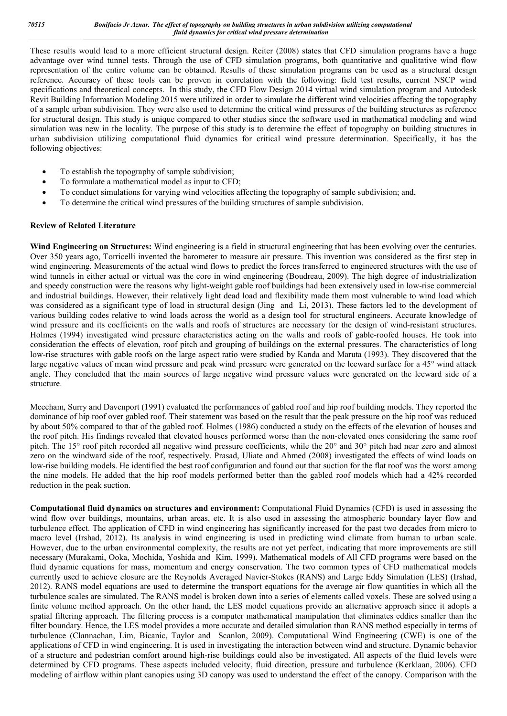These results would lead to a more efficient structural design. Reiter (2008) states that CFD simulation programs have a huge advantage over wind tunnel tests. Through the use of CFD simulation programs, both quantitative and qualitative wind flow representation of the entire volume can be obtained. Results of these simulation programs can be used as a structural design reference. Accuracy of these tools can be proven in correlation with the following: field test results, current NSCP wind specifications and theoretical concepts. In this study, the CFD Flow Design 2014 virtual wind simulation program and Autodesk Revit Building Information Modeling 2015 were utilized in order to simulate the different wind velocities affecting the topography of a sample urban subdivision. They were also used to determine the critical wind pressures of the building structures as reference for structural design. This study is unique compared to other studies since the software used in mathematical modeling and wind simulation was new in the locality. The purpose of this study is to determine the effect of topography on building structures in urban subdivision utilizing computational fluid dynamics for critical wind pressure determination. Specifically, it has the following objectives:

- To establish the topography of sample subdivision;
- To formulate a mathematical model as input to CFD;
- To conduct simulations for varying wind velocities affecting the topography of sample subdivision; and,
- To determine the critical wind pressures of the building structures of sample subdivision.

### **Review of Related Literature**

**Wind Engineering on Structures:** Wind engineering is a field in structural engineering that has been evolving over the centuries. Over 350 years ago, Torricelli invented the barometer to measure air pressure. This invention was considered as the first step in wind engineering. Measurements of the actual wind flows to predict the forces transferred to engineered structures with the use of wind tunnels in either actual or virtual was the core in wind engineering (Boudreau, 2009). The high degree of industrialization and speedy construction were the reasons why light-weight gable roof buildings had been extensively used in low-rise commercial and industrial buildings. However, their relatively light dead load and flexibility made them most vulnerable to wind load which was considered as a significant type of load in structural design (Jing and Li, 2013). These factors led to the development of various building codes relative to wind loads across the world as a design tool for structural engineers. Accurate knowledge of wind pressure and its coefficients on the walls and roofs of structures are necessary for the design of wind-resistant structures. Holmes (1994) investigated wind pressure characteristics acting on the walls and roofs of gable-roofed houses. He took into consideration the effects of elevation, roof pitch and grouping of buildings on the external pressures. The characteristics of long low-rise structures with gable roofs on the large aspect ratio were studied by Kanda and Maruta (1993). They discovered that the large negative values of mean wind pressure and peak wind pressure were generated on the leeward surface for a 45° wind attack angle. They concluded that the main sources of large negative wind pressure values were generated on the leeward side of a structure.

Meecham, Surry and Davenport (1991) evaluated the performances of gabled roof and hip roof building models. They reported the dominance of hip roof over gabled roof. Their statement was based on the result that the peak pressure on the hip roof was reduced by about 50% compared to that of the gabled roof. Holmes (1986) conducted a study on the effects of the elevation of houses and the roof pitch. His findings revealed that elevated houses performed worse than the non-elevated ones considering the same roof pitch. The 15° roof pitch recorded all negative wind pressure coefficients, while the 20° and 30° pitch had near zero and almost zero on the windward side of the roof, respectively. Prasad, Uliate and Ahmed (2008) investigated the effects of wind loads on low-rise building models. He identified the best roof configuration and found out that suction for the flat roof was the worst among the nine models. He added that the hip roof models performed better than the gabled roof models which had a 42% recorded reduction in the peak suction.

**Computational fluid dynamics on structures and environment:** Computational Fluid Dynamics (CFD) is used in assessing the wind flow over buildings, mountains, urban areas, etc. It is also used in assessing the atmospheric boundary layer flow and turbulence effect. The application of CFD in wind engineering has significantly increased for the past two decades from micro to macro level (Irshad, 2012). Its analysis in wind engineering is used in predicting wind climate from human to urban scale. However, due to the urban environmental complexity, the results are not yet perfect, indicating that more improvements are still necessary (Murakami, Ooka, Mochida, Yoshida and Kim, 1999). Mathematical models of All CFD programs were based on the fluid dynamic equations for mass, momentum and energy conservation. The two common types of CFD mathematical models currently used to achieve closure are the Reynolds Averaged Navier-Stokes (RANS) and Large Eddy Simulation (LES) (Irshad, 2012). RANS model equations are used to determine the transport equations for the average air flow quantities in which all the turbulence scales are simulated. The RANS model is broken down into a series of elements called voxels. These are solved using a finite volume method approach. On the other hand, the LES model equations provide an alternative approach since it adopts a spatial filtering approach. The filtering process is a computer mathematical manipulation that eliminates eddies smaller than the filter boundary. Hence, the LES model provides a more accurate and detailed simulation than RANS method especially in terms of turbulence (Clannachan, Lim, Bicanic, Taylor and Scanlon, 2009). Computational Wind Engineering (CWE) is one of the applications of CFD in wind engineering. It is used in investigating the interaction between wind and structure. Dynamic behavior of a structure and pedestrian comfort around high-rise buildings could also be investigated. All aspects of the fluid levels were determined by CFD programs. These aspects included velocity, fluid direction, pressure and turbulence (Kerklaan, 2006). CFD modeling of airflow within plant canopies using 3D canopy was used to understand the effect of the canopy. Comparison with the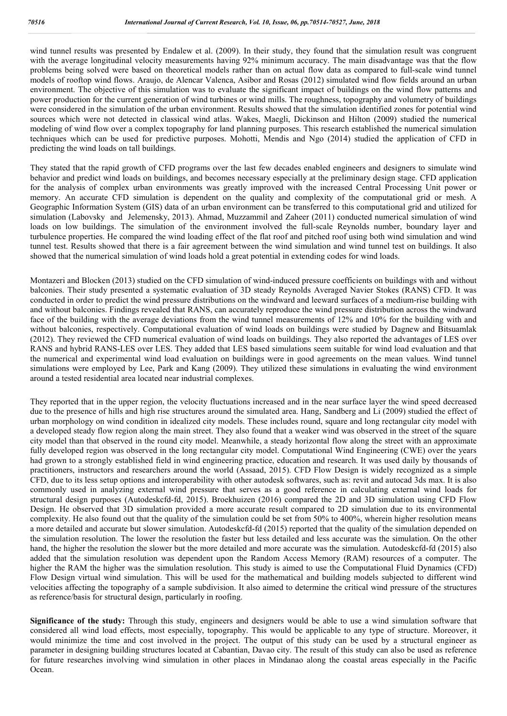wind tunnel results was presented by Endalew et al. (2009). In their study, they found that the simulation result was congruent with the average longitudinal velocity measurements having 92% minimum accuracy. The main disadvantage was that the flow problems being solved were based on theoretical models rather than on actual flow data as compared to full-scale wind tunnel models of rooftop wind flows. Araujo, de Alencar Valenca, Asibor and Rosas (2012) simulated wind flow fields around an urban environment. The objective of this simulation was to evaluate the significant impact of buildings on the wind flow patterns and power production for the current generation of wind turbines or wind mills. The roughness, topography and volumetry of buildings were considered in the simulation of the urban environment. Results showed that the simulation identified zones for potential wind sources which were not detected in classical wind atlas. Wakes, Maegli, Dickinson and Hilton (2009) studied the numerical modeling of wind flow over a complex topography for land planning purposes. This research established the numerical simulation techniques which can be used for predictive purposes. Mohotti, Mendis and Ngo (2014) studied the application of CFD in predicting the wind loads on tall buildings.

They stated that the rapid growth of CFD programs over the last few decades enabled engineers and designers to simulate wind behavior and predict wind loads on buildings, and becomes necessary especially at the preliminary design stage. CFD application for the analysis of complex urban environments was greatly improved with the increased Central Processing Unit power or memory. An accurate CFD simulation is dependent on the quality and complexity of the computational grid or mesh. A Geographic Information System (GIS) data of an urban environment can be transferred to this computational grid and utilized for simulation (Labovsky and Jelemensky, 2013). Ahmad, Muzzammil and Zaheer (2011) conducted numerical simulation of wind loads on low buildings. The simulation of the environment involved the full-scale Reynolds number, boundary layer and turbulence properties. He compared the wind loading effect of the flat roof and pitched roof using both wind simulation and wind tunnel test. Results showed that there is a fair agreement between the wind simulation and wind tunnel test on buildings. It also showed that the numerical simulation of wind loads hold a great potential in extending codes for wind loads.

Montazeri and Blocken (2013) studied on the CFD simulation of wind-induced pressure coefficients on buildings with and without balconies. Their study presented a systematic evaluation of 3D steady Reynolds Averaged Navier Stokes (RANS) CFD. It was conducted in order to predict the wind pressure distributions on the windward and leeward surfaces of a medium-rise building with and without balconies. Findings revealed that RANS, can accurately reproduce the wind pressure distribution across the windward face of the building with the average deviations from the wind tunnel measurements of 12% and 10% for the building with and without balconies, respectively. Computational evaluation of wind loads on buildings were studied by Dagnew and Bitsuamlak (2012). They reviewed the CFD numerical evaluation of wind loads on buildings. They also reported the advantages of LES over RANS and hybrid RANS-LES over LES. They added that LES based simulations seem suitable for wind load evaluation and that the numerical and experimental wind load evaluation on buildings were in good agreements on the mean values. Wind tunnel simulations were employed by Lee, Park and Kang (2009). They utilized these simulations in evaluating the wind environment around a tested residential area located near industrial complexes.

They reported that in the upper region, the velocity fluctuations increased and in the near surface layer the wind speed decreased due to the presence of hills and high rise structures around the simulated area. Hang, Sandberg and Li (2009) studied the effect of urban morphology on wind condition in idealized city models. These includes round, square and long rectangular city model with a developed steady flow region along the main street. They also found that a weaker wind was observed in the street of the square city model than that observed in the round city model. Meanwhile, a steady horizontal flow along the street with an approximate fully developed region was observed in the long rectangular city model. Computational Wind Engineering (CWE) over the years had grown to a strongly established field in wind engineering practice, education and research. It was used daily by thousands of practitioners, instructors and researchers around the world (Assaad, 2015). CFD Flow Design is widely recognized as a simple CFD, due to its less setup options and interoperability with other autodesk softwares, such as: revit and autocad 3ds max. It is also commonly used in analyzing external wind pressure that serves as a good reference in calculating external wind loads for structural design purposes (Autodeskcfd-fd, 2015). Broekhuizen (2016) compared the 2D and 3D simulation using CFD Flow Design. He observed that 3D simulation provided a more accurate result compared to 2D simulation due to its environmental complexity. He also found out that the quality of the simulation could be set from 50% to 400%, wherein higher resolution means a more detailed and accurate but slower simulation. Autodeskcfd-fd (2015) reported that the quality of the simulation depended on the simulation resolution. The lower the resolution the faster but less detailed and less accurate was the simulation. On the other hand, the higher the resolution the slower but the more detailed and more accurate was the simulation. Autodeskcfd-fd (2015) also added that the simulation resolution was dependent upon the Random Access Memory (RAM) resources of a computer. The higher the RAM the higher was the simulation resolution. This study is aimed to use the Computational Fluid Dynamics (CFD) Flow Design virtual wind simulation. This will be used for the mathematical and building models subjected to different wind velocities affecting the topography of a sample subdivision. It also aimed to determine the critical wind pressure of the structures as reference/basis for structural design, particularly in roofing.

**Significance of the study:** Through this study, engineers and designers would be able to use a wind simulation software that considered all wind load effects, most especially, topography. This would be applicable to any type of structure. Moreover, it would minimize the time and cost involved in the project. The output of this study can be used by a structural engineer as parameter in designing building structures located at Cabantian, Davao city. The result of this study can also be used as reference for future researches involving wind simulation in other places in Mindanao along the coastal areas especially in the Pacific Ocean.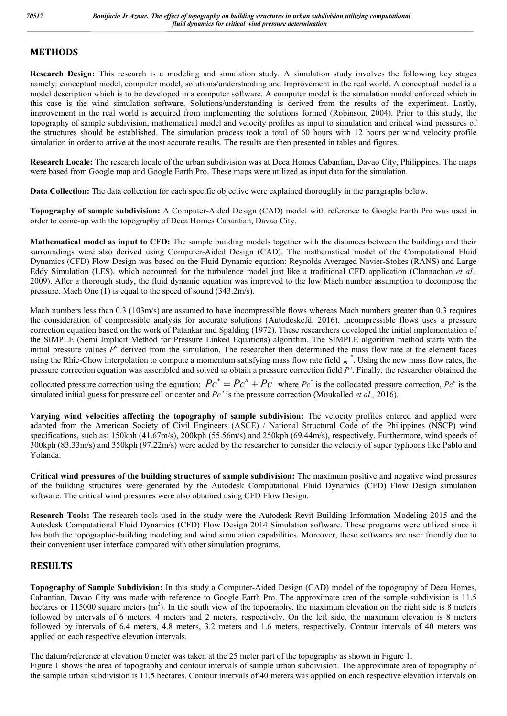## **METHODS**

**Research Design:** This research is a modeling and simulation study. A simulation study involves the following key stages namely: conceptual model, computer model, solutions/understanding and Improvement in the real world. A conceptual model is a model description which is to be developed in a computer software. A computer model is the simulation model enforced which in this case is the wind simulation software. Solutions/understanding is derived from the results of the experiment. Lastly, improvement in the real world is acquired from implementing the solutions formed (Robinson, 2004). Prior to this study, the topography of sample subdivision, mathematical model and velocity profiles as input to simulation and critical wind pressures of the structures should be established. The simulation process took a total of 60 hours with 12 hours per wind velocity profile simulation in order to arrive at the most accurate results. The results are then presented in tables and figures.

**Research Locale:** The research locale of the urban subdivision was at Deca Homes Cabantian, Davao City, Philippines. The maps were based from Google map and Google Earth Pro. These maps were utilized as input data for the simulation.

**Data Collection:** The data collection for each specific objective were explained thoroughly in the paragraphs below.

**Topography of sample subdivision:** A Computer-Aided Design (CAD) model with reference to Google Earth Pro was used in order to come-up with the topography of Deca Homes Cabantian, Davao City.

**Mathematical model as input to CFD:** The sample building models together with the distances between the buildings and their surroundings were also derived using Computer-Aided Design (CAD). The mathematical model of the Computational Fluid Dynamics (CFD) Flow Design was based on the Fluid Dynamic equation: Reynolds Averaged Navier-Stokes (RANS) and Large Eddy Simulation (LES), which accounted for the turbulence model just like a traditional CFD application (Clannachan *et al.,*  2009). After a thorough study, the fluid dynamic equation was improved to the low Mach number assumption to decompose the pressure. Mach One (1) is equal to the speed of sound (343.2m/s).

Mach numbers less than 0.3 (103m/s) are assumed to have incompressible flows whereas Mach numbers greater than 0.3 requires the consideration of compressible analysis for accurate solutions (Autodeskcfd, 2016). Incompressible flows uses a pressure correction equation based on the work of Patankar and Spalding (1972). These researchers developed the initial implementation of the SIMPLE (Semi Implicit Method for Pressure Linked Equations) algorithm. The SIMPLE algorithm method starts with the initial pressure values  $P<sup>n</sup>$  derived from the simulation. The researcher then determined the mass flow rate at the element faces using the Rhie-Chow interpolation to compute a momentum satisfying mass flow rate field  $\frac{1}{m}$  \*. Using the new mass flow rates, the pressure correction equation was assembled and solved to obtain a pressure correction field *P'*. Finally, the researcher obtained the

collocated pressure correction using the equation:  $P c^* = P c^n + P c$  where  $P c^*$  is the collocated pressure correction,  $P c^n$  is the simulated initial guess for pressure cell or center and *Pc'* is the pressure correction (Moukalled *et al.,* 2016).

**Varying wind velocities affecting the topography of sample subdivision:** The velocity profiles entered and applied were adapted from the American Society of Civil Engineers (ASCE) / National Structural Code of the Philippines (NSCP) wind specifications, such as: 150kph (41.67m/s), 200kph (55.56m/s) and 250kph (69.44m/s), respectively. Furthermore, wind speeds of 300kph (83.33m/s) and 350kph (97.22m/s) were added by the researcher to consider the velocity of super typhoons like Pablo and Yolanda.

**Critical wind pressures of the building structures of sample subdivision:** The maximum positive and negative wind pressures of the building structures were generated by the Autodesk Computational Fluid Dynamics (CFD) Flow Design simulation software. The critical wind pressures were also obtained using CFD Flow Design.

**Research Tools:** The research tools used in the study were the Autodesk Revit Building Information Modeling 2015 and the Autodesk Computational Fluid Dynamics (CFD) Flow Design 2014 Simulation software. These programs were utilized since it has both the topographic-building modeling and wind simulation capabilities. Moreover, these softwares are user friendly due to their convenient user interface compared with other simulation programs.

## **RESULTS**

**Topography of Sample Subdivision:** In this study a Computer-Aided Design (CAD) model of the topography of Deca Homes, Cabantian, Davao City was made with reference to Google Earth Pro. The approximate area of the sample subdivision is 11.5 hectares or 115000 square meters  $(m^2)$ . In the south view of the topography, the maximum elevation on the right side is 8 meters followed by intervals of 6 meters, 4 meters and 2 meters, respectively. On the left side, the maximum elevation is 8 meters followed by intervals of 6.4 meters, 4.8 meters, 3.2 meters and 1.6 meters, respectively. Contour intervals of 40 meters was applied on each respective elevation intervals.

The datum/reference at elevation 0 meter was taken at the 25 meter part of the topography as shown in Figure 1. Figure 1 shows the area of topography and contour intervals of sample urban subdivision. The approximate area of topography of the sample urban subdivision is 11.5 hectares. Contour intervals of 40 meters was applied on each respective elevation intervals on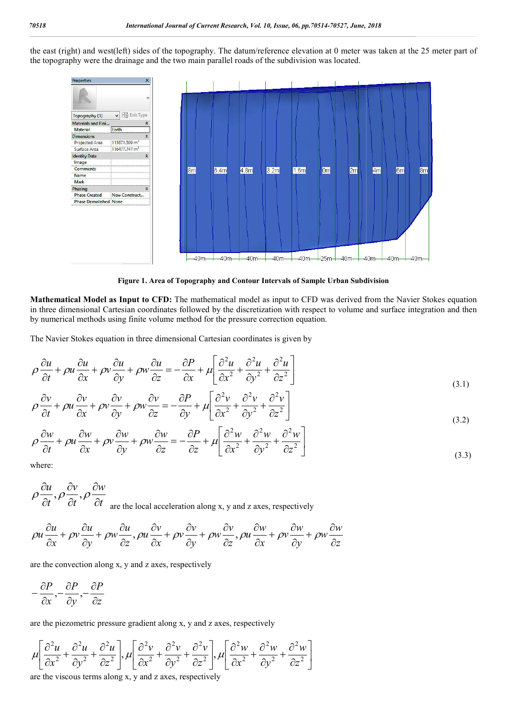the east (right) and west(left) sides of the topography. The datum/reference elevation at 0 meter was taken at the 25 meter part of the topography were the drainage and the two main parallel roads of the subdivision was located.



**Figure 1. Area of Topography and Contour Intervals of Sample Urban Subdivision**

**Mathematical Model as Input to CFD:** The mathematical model as input to CFD was derived from the Navier Stokes equation in three dimensional Cartesian coordinates followed by the discretization with respect to volume and surface integration and then by numerical methods using finite volume method for the pressure correction equation.

The Navier Stokes equation in three dimensional Cartesian coordinates is given by

$$
\rho \frac{\partial u}{\partial t} + \rho u \frac{\partial u}{\partial x} + \rho v \frac{\partial u}{\partial y} + \rho w \frac{\partial u}{\partial z} = -\frac{\partial P}{\partial x} + \mu \left[ \frac{\partial^2 u}{\partial x^2} + \frac{\partial^2 u}{\partial y^2} + \frac{\partial^2 u}{\partial z^2} \right]
$$
(3.1)

$$
\rho \frac{\partial v}{\partial t} + \rho u \frac{\partial v}{\partial x} + \rho v \frac{\partial v}{\partial y} + \rho w \frac{\partial v}{\partial z} = -\frac{\partial P}{\partial y} + \mu \left[ \frac{\partial^2 v}{\partial x^2} + \frac{\partial^2 v}{\partial y^2} + \frac{\partial^2 v}{\partial z^2} \right]
$$
(3.2)

$$
\rho \frac{\partial w}{\partial t} + \rho u \frac{\partial w}{\partial x} + \rho v \frac{\partial w}{\partial y} + \rho w \frac{\partial w}{\partial z} = -\frac{\partial P}{\partial z} + \mu \left[ \frac{\partial^2 w}{\partial x^2} + \frac{\partial^2 w}{\partial y^2} + \frac{\partial^2 w}{\partial z^2} \right]
$$
(3.3)

where:

$$
\rho \frac{\partial u}{\partial t}, \rho \frac{\partial v}{\partial t}, \rho \frac{\partial w}{\partial t}
$$
 are the local acceleration along x, y and z axes, respectively

$$
\rho u \frac{\partial u}{\partial x} + \rho v \frac{\partial u}{\partial y} + \rho w \frac{\partial u}{\partial z}, \rho u \frac{\partial v}{\partial x} + \rho v \frac{\partial v}{\partial y} + \rho w \frac{\partial v}{\partial z}, \rho u \frac{\partial w}{\partial x} + \rho v \frac{\partial w}{\partial y} + \rho w \frac{\partial w}{\partial z}
$$

are the convection along x, y and z axes, respectively

$$
-\frac{\partial P}{\partial x}, -\frac{\partial P}{\partial y}, -\frac{\partial P}{\partial z}
$$

are the piezometric pressure gradient along x, y and z axes, respectively

$$
\mu \left[ \frac{\partial^2 u}{\partial x^2} + \frac{\partial^2 u}{\partial y^2} + \frac{\partial^2 u}{\partial z^2} \right], \mu \left[ \frac{\partial^2 v}{\partial x^2} + \frac{\partial^2 v}{\partial y^2} + \frac{\partial^2 v}{\partial z^2} \right], \mu \left[ \frac{\partial^2 w}{\partial x^2} + \frac{\partial^2 w}{\partial y^2} + \frac{\partial^2 w}{\partial z^2} \right]
$$

are the viscous terms along x, y and z axes, respectively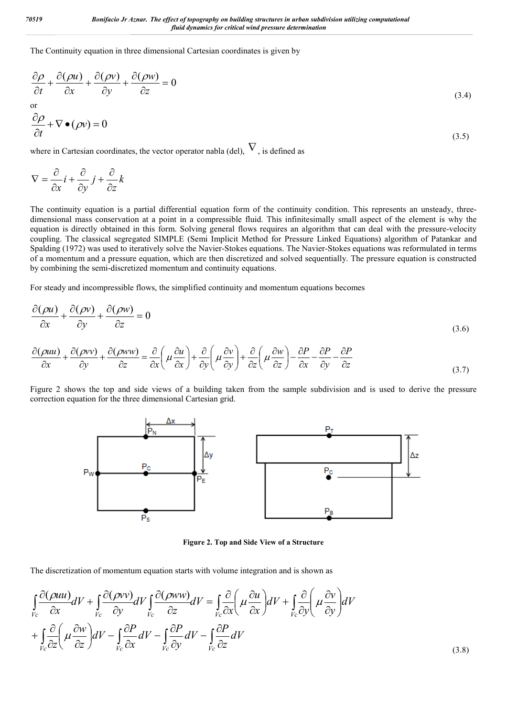The Continuity equation in three dimensional Cartesian coordinates is given by

$$
\frac{\partial \rho}{\partial t} + \frac{\partial (\rho u)}{\partial x} + \frac{\partial (\rho v)}{\partial y} + \frac{\partial (\rho w)}{\partial z} = 0
$$
\n
$$
\frac{\partial \rho}{\partial t} + \nabla \bullet (\rho v) = 0
$$
\n(3.4)

where in Cartesian coordinates, the vector operator nabla (del),  $\nabla$ , is defined as

$$
\nabla = \frac{\partial}{\partial x} i + \frac{\partial}{\partial y} j + \frac{\partial}{\partial z} k
$$

The continuity equation is a partial differential equation form of the continuity condition. This represents an unsteady, threedimensional mass conservation at a point in a compressible fluid. This infinitesimally small aspect of the element is why the equation is directly obtained in this form. Solving general flows requires an algorithm that can deal with the pressure-velocity coupling. The classical segregated SIMPLE (Semi Implicit Method for Pressure Linked Equations) algorithm of Patankar and Spalding (1972) was used to iteratively solve the Navier-Stokes equations. The Navier-Stokes equations was reformulated in terms of a momentum and a pressure equation, which are then discretized and solved sequentially. The pressure equation is constructed by combining the semi-discretized momentum and continuity equations.

For steady and incompressible flows, the simplified continuity and momentum equations becomes

$$
\frac{\partial(\rho u)}{\partial x} + \frac{\partial(\rho v)}{\partial y} + \frac{\partial(\rho w)}{\partial z} = 0
$$
\n(3.6)

$$
\frac{\partial(\rho uu)}{\partial x} + \frac{\partial(\rho vv)}{\partial y} + \frac{\partial(\rho ww)}{\partial z} = \frac{\partial}{\partial x}\left(\mu \frac{\partial u}{\partial x}\right) + \frac{\partial}{\partial y}\left(\mu \frac{\partial v}{\partial y}\right) + \frac{\partial}{\partial z}\left(\mu \frac{\partial w}{\partial z}\right) - \frac{\partial P}{\partial x} - \frac{\partial P}{\partial y} - \frac{\partial P}{\partial z}
$$
(3.7)

Figure 2 shows the top and side views of a building taken from the sample subdivision and is used to derive the pressure correction equation for the three dimensional Cartesian grid.



**Figure 2. Top and Side View of a Structure**

The discretization of momentum equation starts with volume integration and is shown as

$$
\int_{V_c} \frac{\partial(\rho uu)}{\partial x} dV + \int_{V_c} \frac{\partial(\rho vv)}{\partial y} dV \int_{V_c} \frac{\partial(\rho ww)}{\partial z} dV = \int_{V_c} \frac{\partial}{\partial x} \left( \mu \frac{\partial u}{\partial x} \right) dV + \int_{V_c} \frac{\partial}{\partial y} \left( \mu \frac{\partial v}{\partial y} \right) dV
$$

$$
+ \int_{V_c} \frac{\partial}{\partial z} \left( \mu \frac{\partial w}{\partial z} \right) dV - \int_{V_c} \frac{\partial P}{\partial x} dV - \int_{V_c} \frac{\partial P}{\partial y} dV - \int_{V_c} \frac{\partial P}{\partial z} dV
$$
(3.8)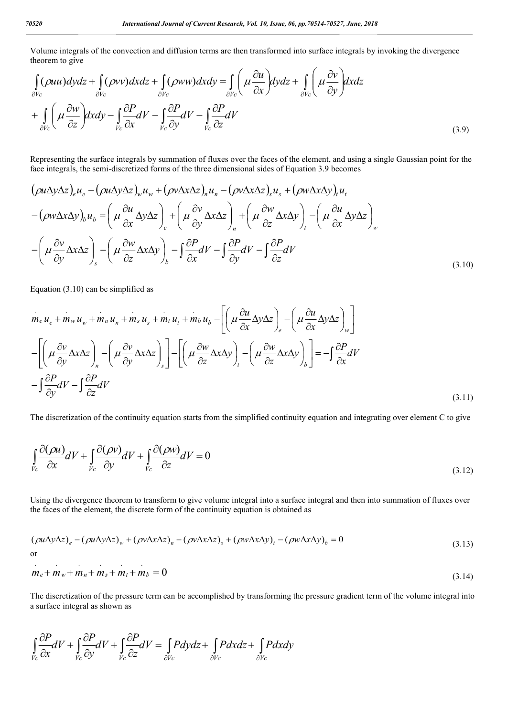Volume integrals of the convection and diffusion terms are then transformed into surface integrals by invoking the divergence theorem to give

$$
\int_{\partial V_c} (\rho uu) dydz + \int_{\partial V_c} (\rho vv) dxdz + \int_{\partial V_c} (\rho ww) dxdy = \int_{\partial V_c} \left( \mu \frac{\partial u}{\partial x} \right) dydz + \int_{\partial V_c} \left( \mu \frac{\partial v}{\partial y} \right) dxdz \n+ \int_{\partial V_c} \left( \mu \frac{\partial w}{\partial z} \right) dxdy - \int_{V_c} \frac{\partial P}{\partial x} dV - \int_{V_c} \frac{\partial P}{\partial y} dV - \int_{V_c} \frac{\partial P}{\partial z} dV
$$
\n(3.9)

Representing the surface integrals by summation of fluxes over the faces of the element, and using a single Gaussian point for the face integrals, the semi-discretized forms of the three dimensional sides of Equation 3.9 becomes

$$
\begin{split}\n(\rho u \Delta y \Delta z)_{e} u_{e} - (\rho u \Delta y \Delta z)_{w} u_{w} + (\rho v \Delta x \Delta z)_{n} u_{n} - (\rho v \Delta x \Delta z)_{s} u_{s} + (\rho w \Delta x \Delta y)_{t} u_{t} \\
-(\rho w \Delta x \Delta y)_{b} u_{b} &= \left(\mu \frac{\partial u}{\partial x} \Delta y \Delta z\right)_{e} + \left(\mu \frac{\partial v}{\partial y} \Delta x \Delta z\right)_{n} + \left(\mu \frac{\partial w}{\partial z} \Delta x \Delta y\right)_{t} - \left(\mu \frac{\partial u}{\partial x} \Delta y \Delta z\right)_{w} \\
-\left(\mu \frac{\partial v}{\partial y} \Delta x \Delta z\right)_{s} - \left(\mu \frac{\partial w}{\partial z} \Delta x \Delta y\right)_{b} - \int \frac{\partial P}{\partial x} dV - \int \frac{\partial P}{\partial y} dV - \int \frac{\partial P}{\partial z} dV\n\end{split}
$$
\n(3.10)

Equation (3.10) can be simplified as

$$
m_{e} u_{e} + m_{w} u_{w} + m_{n} u_{n} + m_{s} u_{s} + m_{t} u_{t} + m_{b} u_{b} - \left[ \left( \mu \frac{\partial u}{\partial x} \Delta y \Delta z \right)_{e} - \left( \mu \frac{\partial u}{\partial x} \Delta y \Delta z \right)_{w} \right]
$$

$$
- \left[ \left( \mu \frac{\partial v}{\partial y} \Delta x \Delta z \right)_{n} - \left( \mu \frac{\partial v}{\partial y} \Delta x \Delta z \right)_{s} \right] - \left[ \left( \mu \frac{\partial w}{\partial z} \Delta x \Delta y \right)_{t} - \left( \mu \frac{\partial w}{\partial z} \Delta x \Delta y \right)_{b} \right] = -\int \frac{\partial P}{\partial x} dV
$$

$$
- \int \frac{\partial P}{\partial y} dV - \int \frac{\partial P}{\partial z} dV
$$
(3.11)

The discretization of the continuity equation starts from the simplified continuity equation and integrating over element C to give

$$
\int_{V_c} \frac{\partial(\rho u)}{\partial x} dV + \int_{V_c} \frac{\partial(\rho v)}{\partial y} dV + \int_{V_c} \frac{\partial(\rho w)}{\partial z} dV = 0
$$
\n(3.12)

Using the divergence theorem to transform to give volume integral into a surface integral and then into summation of fluxes over the faces of the element, the discrete form of the continuity equation is obtained as

$$
(\rho u \Delta y \Delta z)_e - (\rho u \Delta y \Delta z)_w + (\rho v \Delta x \Delta z)_n - (\rho v \Delta x \Delta z)_s + (\rho w \Delta x \Delta y)_t - (\rho w \Delta x \Delta y)_b = 0
$$
\nor\n
$$
(3.13)
$$

$$
m_e + m_w + m_n + m_s + m_t + m_b = 0
$$
\n(3.14)

The discretization of the pressure term can be accomplished by transforming the pressure gradient term of the volume integral into a surface integral as shown as

$$
\int_{V_c} \frac{\partial P}{\partial x} dV + \int_{V_c} \frac{\partial P}{\partial y} dV + \int_{V_c} \frac{\partial P}{\partial z} dV = \int_{\partial V_c} Pdydz + \int_{\partial V_c} Pdxdz + \int_{\partial V_c} Pdxdy
$$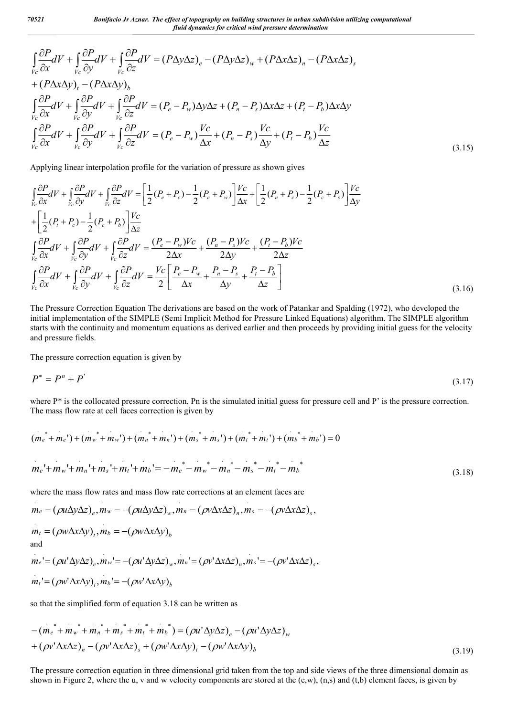$$
\int_{V_c} \frac{\partial P}{\partial x} dV + \int_{V_c} \frac{\partial P}{\partial y} dV + \int_{V_c} \frac{\partial P}{\partial z} dV = (P \Delta y \Delta z)_e - (P \Delta y \Delta z)_w + (P \Delta x \Delta z)_n - (P \Delta x \Delta z)_s \n+ (P \Delta x \Delta y)_t - (P \Delta x \Delta y)_b \n\int_{V_c} \frac{\partial P}{\partial x} dV + \int_{V_c} \frac{\partial P}{\partial y} dV + \int_{V_c} \frac{\partial P}{\partial z} dV = (P_e - P_w) \Delta y \Delta z + (P_n - P_s) \Delta x \Delta z + (P_t - P_b) \Delta x \Delta y \n\int_{V_c} \frac{\partial P}{\partial x} dV + \int_{V_c} \frac{\partial P}{\partial y} dV + \int_{V_c} \frac{\partial P}{\partial z} dV = (P_e - P_w) \frac{V_c}{\Delta x} + (P_n - P_s) \frac{V_c}{\Delta y} + (P_t - P_b) \frac{V_c}{\Delta z}
$$
\n(3.15)

Applying linear interpolation profile for the variation of pressure as shown gives

$$
\int_{V_c} \frac{\partial P}{\partial x} dV + \int_{V_c} \frac{\partial P}{\partial y} dV + \int_{V_c} \frac{\partial P}{\partial z} dV = \left[ \frac{1}{2} (P_e + P_c) - \frac{1}{2} (P_c + P_w) \right] \frac{V_c}{\Delta x} + \left[ \frac{1}{2} (P_n + P_c) - \frac{1}{2} (P_c + P_s) \right] \frac{V_c}{\Delta y}
$$
\n
$$
+ \left[ \frac{1}{2} (P_t + P_c) - \frac{1}{2} (P_c + P_b) \right] \frac{V_c}{\Delta z}
$$
\n
$$
\int_{V_c} \frac{\partial P}{\partial x} dV + \int_{V_c} \frac{\partial P}{\partial y} dV + \int_{V_c} \frac{\partial P}{\partial z} dV = \frac{(P_e - P_w)V_c}{2\Delta x} + \frac{(P_n - P_s)V_c}{2\Delta y} + \frac{(P_t - P_b)V_c}{2\Delta z}
$$
\n
$$
\int_{V_c} \frac{\partial P}{\partial x} dV + \int_{V_c} \frac{\partial P}{\partial y} dV + \int_{V_c} \frac{\partial P}{\partial z} dV = \frac{V_c}{2} \left[ \frac{P_e - P_w}{\Delta x} + \frac{P_n - P_s}{\Delta y} + \frac{P_t - P_b}{\Delta z} \right]
$$
\n(3.16)

The Pressure Correction Equation The derivations are based on the work of Patankar and Spalding (1972), who developed the initial implementation of the SIMPLE (Semi Implicit Method for Pressure Linked Equations) algorithm. The SIMPLE algorithm starts with the continuity and momentum equations as derived earlier and then proceeds by providing initial guess for the velocity and pressure fields.

The pressure correction equation is given by

$$
P^* = P^n + P' \tag{3.17}
$$

where  $P^*$  is the collocated pressure correction, Pn is the simulated initial guess for pressure cell and P' is the pressure correction. The mass flow rate at cell faces correction is given by

$$
(m_e^* + m_e^+) + (m_w^* + m_w^+) + (m_n^* + m_n^+) + (m_s^* + m_s^+) + (m_t^* + m_t^+) + (m_b^* + m_b^+) = 0
$$
  

$$
m_e^+ + m_w^+ + m_n^+ + m_s^+ + m_t^+ + m_b^+ = -m_e^* - m_w^* - m_n^* - m_s^* - m_t^* - m_b^* \tag{3.18}
$$

where the mass flow rates and mass flow rate corrections at an element faces are

$$
m_e = (\rho u \Delta y \Delta z)_e, m_w = -(\rho u \Delta y \Delta z)_w, m_n = (\rho v \Delta x \Delta z)_n, m_s = -(\rho v \Delta x \Delta z)_s,
$$

$$
m_t = (\rho w \Delta x \Delta y)_t, m_b = -(\rho w \Delta x \Delta y)_b
$$

and

$$
m_e' = (\rho u' \Delta y \Delta z)_e, m_w' = -(\rho u' \Delta y \Delta z)_w, m_n' = (\rho v' \Delta x \Delta z)_n, m_s' = -(\rho v' \Delta x \Delta z)_s,
$$
  

$$
m_t' = (\rho w' \Delta x \Delta y)_t, m_b' = -(\rho w' \Delta x \Delta y)_b
$$

so that the simplified form of equation 3.18 can be written as

$$
-(m_e^* + m_w^* + m_n^* + m_s^* + m_t^* + m_b^*) = (\rho u^* \Delta y \Delta z)_e - (\rho u^* \Delta y \Delta z)_w
$$
  
+  $(\rho v^* \Delta x \Delta z)_n - (\rho v^* \Delta x \Delta z)_s + (\rho w^* \Delta x \Delta y)_t - (\rho w^* \Delta x \Delta y)_b$  (3.19)

The pressure correction equation in three dimensional grid taken from the top and side views of the three dimensional domain as shown in Figure 2, where the u, v and w velocity components are stored at the (e,w),  $(n,s)$  and (t,b) element faces, is given by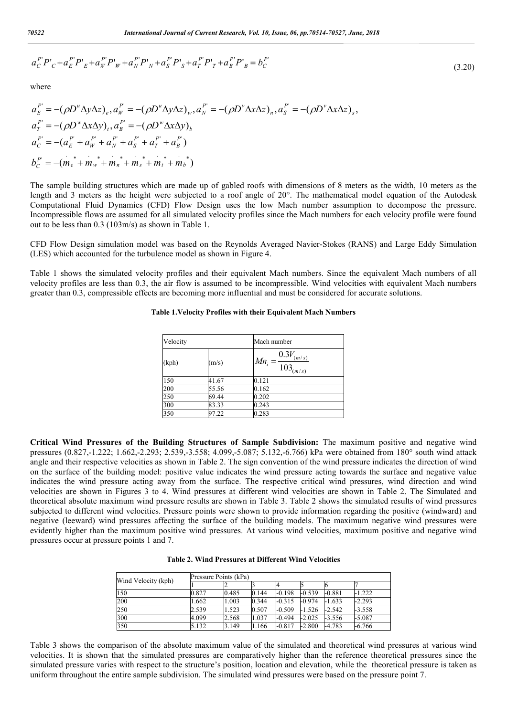$$
a_C^{P'}P'_C + a_E^{P'}P'_E + a_W^{P'}P'_W + a_N^{P'}P'_N + a_S^{P'}P'_S + a_T^{P'}P'_T + a_B^{P'}P'_B = b_C^{P'} \tag{3.20}
$$

where

$$
a_E^{P'} = -(\rho D^{\mu} \Delta y \Delta z)_e, a_W^{P'} = -(\rho D^{\mu} \Delta y \Delta z)_w, a_N^{P'} = -(\rho D^{\nu} \Delta x \Delta z)_n, a_S^{P'} = -(\rho D^{\nu} \Delta x \Delta z)_s,
$$
  
\n
$$
a_T^{P'} = -(\rho D^{\nu} \Delta x \Delta y)_t, a_B^{P'} = -(\rho D^{\nu} \Delta x \Delta y)_b
$$
  
\n
$$
a_C^{P'} = -a_E^{P'} + a_W^{P'} + a_N^{P'} + a_S^{P'} + a_T^{P'} + a_B^{P'})
$$
  
\n
$$
b_C^{P'} = -(m_e^* + m_w^* + m_n^* + m_s^* + m_t^* + m_b^*)
$$

The sample building structures which are made up of gabled roofs with dimensions of 8 meters as the width, 10 meters as the length and 3 meters as the height were subjected to a roof angle of 20°. The mathematical model equation of the Autodesk Computational Fluid Dynamics (CFD) Flow Design uses the low Mach number assumption to decompose the pressure. Incompressible flows are assumed for all simulated velocity profiles since the Mach numbers for each velocity profile were found out to be less than 0.3 (103m/s) as shown in Table 1.

CFD Flow Design simulation model was based on the Reynolds Averaged Navier-Stokes (RANS) and Large Eddy Simulation (LES) which accounted for the turbulence model as shown in Figure 4.

Table 1 shows the simulated velocity profiles and their equivalent Mach numbers. Since the equivalent Mach numbers of all velocity profiles are less than 0.3, the air flow is assumed to be incompressible. Wind velocities with equivalent Mach numbers greater than 0.3, compressible effects are becoming more influential and must be considered for accurate solutions.

| Velocity |       | Mach number                                      |
|----------|-------|--------------------------------------------------|
| (kph)    | (m/s) | $0.3V_{(m/s)}$<br>$Mn_i$<br>$=$<br>$103_{(m/s)}$ |
| 150      | 41.67 | 0.121                                            |
| 200      | 55.56 | 0.162                                            |
| 250      | 69.44 | 0.202                                            |
| 300      | 83.33 | 0.243                                            |
| 350      | 97.22 | 0.283                                            |

#### **Table 1.Velocity Profiles with their Equivalent Mach Numbers**

**Critical Wind Pressures of the Building Structures of Sample Subdivision:** The maximum positive and negative wind pressures (0.827,-1.222; 1.662,-2.293; 2.539,-3.558; 4.099,-5.087; 5.132,-6.766) kPa were obtained from 180° south wind attack angle and their respective velocities as shown in Table 2. The sign convention of the wind pressure indicates the direction of wind on the surface of the building model: positive value indicates the wind pressure acting towards the surface and negative value indicates the wind pressure acting away from the surface. The respective critical wind pressures, wind direction and wind velocities are shown in Figures 3 to 4. Wind pressures at different wind velocities are shown in Table 2. The Simulated and theoretical absolute maximum wind pressure results are shown in Table 3. Table 2 shows the simulated results of wind pressures subjected to different wind velocities. Pressure points were shown to provide information regarding the positive (windward) and negative (leeward) wind pressures affecting the surface of the building models. The maximum negative wind pressures were evidently higher than the maximum positive wind pressures. At various wind velocities, maximum positive and negative wind pressures occur at pressure points 1 and 7.

| <b>Table 2. Wind Pressures at Different Wind Velocities</b> |  |
|-------------------------------------------------------------|--|
|-------------------------------------------------------------|--|

| Wind Velocity (kph) | Pressure Points (kPa) |       |       |          |          |          |          |
|---------------------|-----------------------|-------|-------|----------|----------|----------|----------|
|                     |                       |       |       |          |          |          |          |
| 150                 | 0.827                 | 0.485 | 0.144 | $-0.198$ | $-0.539$ | $-0.881$ | $-1.222$ |
| 200                 | 1.662                 | 1.003 | 0.344 | $-0.315$ | $-0.974$ | $-1.633$ | $-2.293$ |
| 250                 | 2.539                 | .523  | 0.507 | $-0.509$ | $-1.526$ | $-2.542$ | $-3.558$ |
| 300                 | 4.099                 | 2.568 | 1.037 | $-0.494$ | $-2.025$ | $-3.556$ | $-5.087$ |
| 350                 | 5.132                 | 3.149 | .166  | $-0.817$ | $-2.800$ | $-4.783$ | $-6.766$ |

Table 3 shows the comparison of the absolute maximum value of the simulated and theoretical wind pressures at various wind velocities. It is shown that the simulated pressures are comparatively higher than the reference theoretical pressures since the simulated pressure varies with respect to the structure's position, location and elevation, while the theoretical pressure is taken as uniform throughout the entire sample subdivision. The simulated wind pressures were based on the pressure point 7.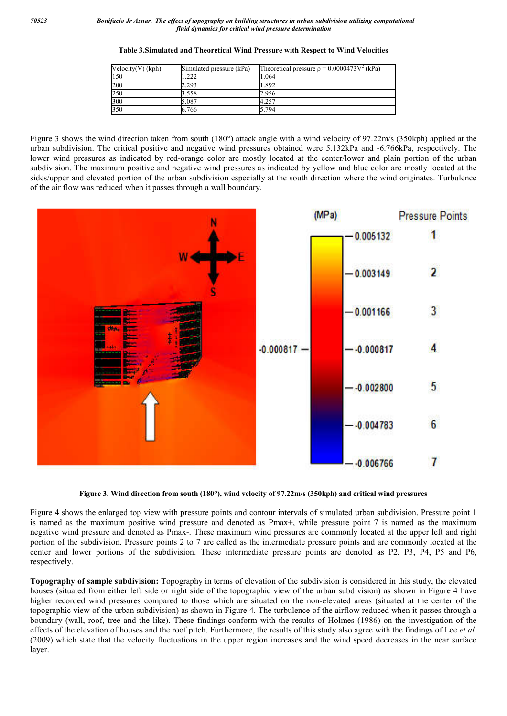| $Velocity(V)$ (kph) | Simulated pressure (kPa) | Theoretical pressure $\rho = 0.0000473V^2$ (kPa) |
|---------------------|--------------------------|--------------------------------------------------|
| 150                 | .222                     | 1.064                                            |
| 200                 | 2.293                    | 1.892                                            |
| 250                 | 3.558                    | 2.956                                            |
| 300                 | 5.087                    | 4.257                                            |
| 350                 | 6.766                    | 5.794                                            |

#### **Table 3.Simulated and Theoretical Wind Pressure with Respect to Wind Velocities**

Figure 3 shows the wind direction taken from south (180°) attack angle with a wind velocity of 97.22m/s (350kph) applied at the urban subdivision. The critical positive and negative wind pressures obtained were 5.132kPa and -6.766kPa, respectively. The lower wind pressures as indicated by red-orange color are mostly located at the center/lower and plain portion of the urban subdivision. The maximum positive and negative wind pressures as indicated by yellow and blue color are mostly located at the sides/upper and elevated portion of the urban subdivision especially at the south direction where the wind originates. Turbulence of the air flow was reduced when it passes through a wall boundary.



**Figure 3. Wind direction from south (180°), wind velocity of 97.22m/s (350kph) and critical wind pressures**

Figure 4 shows the enlarged top view with pressure points and contour intervals of simulated urban subdivision. Pressure point 1 is named as the maximum positive wind pressure and denoted as Pmax+, while pressure point 7 is named as the maximum negative wind pressure and denoted as Pmax-. These maximum wind pressures are commonly located at the upper left and right portion of the subdivision. Pressure points 2 to 7 are called as the intermediate pressure points and are commonly located at the center and lower portions of the subdivision. These intermediate pressure points are denoted as P2, P3, P4, P5 and P6, respectively.

**Topography of sample subdivision:** Topography in terms of elevation of the subdivision is considered in this study, the elevated houses (situated from either left side or right side of the topographic view of the urban subdivision) as shown in Figure 4 have higher recorded wind pressures compared to those which are situated on the non-elevated areas (situated at the center of the topographic view of the urban subdivision) as shown in Figure 4. The turbulence of the airflow reduced when it passes through a boundary (wall, roof, tree and the like). These findings conform with the results of Holmes (1986) on the investigation of the effects of the elevation of houses and the roof pitch. Furthermore, the results of this study also agree with the findings of Lee *et al.* (2009) which state that the velocity fluctuations in the upper region increases and the wind speed decreases in the near surface layer.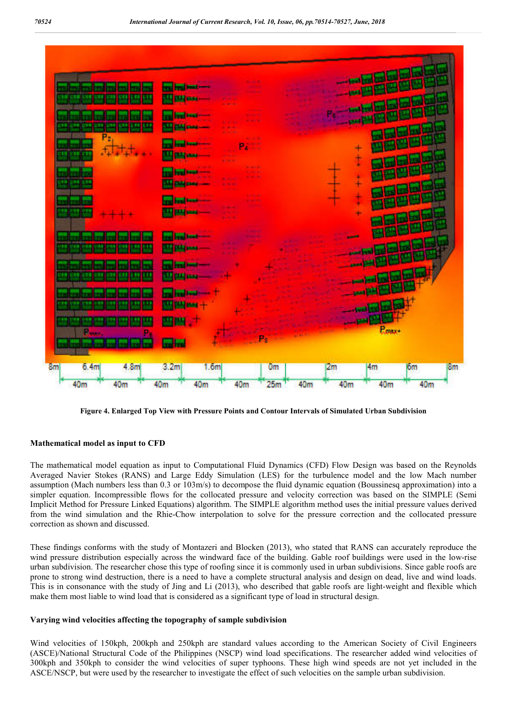

**Figure 4. Enlarged Top View with Pressure Points and Contour Intervals of Simulated Urban Subdivision**

#### **Mathematical model as input to CFD**

The mathematical model equation as input to Computational Fluid Dynamics (CFD) Flow Design was based on the Reynolds Averaged Navier Stokes (RANS) and Large Eddy Simulation (LES) for the turbulence model and the low Mach number assumption (Mach numbers less than 0.3 or 103m/s) to decompose the fluid dynamic equation (Boussinesq approximation) into a simpler equation. Incompressible flows for the collocated pressure and velocity correction was based on the SIMPLE (Semi Implicit Method for Pressure Linked Equations) algorithm. The SIMPLE algorithm method uses the initial pressure values derived from the wind simulation and the Rhie-Chow interpolation to solve for the pressure correction and the collocated pressure correction as shown and discussed.

These findings conforms with the study of Montazeri and Blocken (2013), who stated that RANS can accurately reproduce the wind pressure distribution especially across the windward face of the building. Gable roof buildings were used in the low-rise urban subdivision. The researcher chose this type of roofing since it is commonly used in urban subdivisions. Since gable roofs are prone to strong wind destruction, there is a need to have a complete structural analysis and design on dead, live and wind loads. This is in consonance with the study of Jing and Li (2013), who described that gable roofs are light-weight and flexible which make them most liable to wind load that is considered as a significant type of load in structural design.

#### **Varying wind velocities affecting the topography of sample subdivision**

Wind velocities of 150kph, 200kph and 250kph are standard values according to the American Society of Civil Engineers (ASCE)/National Structural Code of the Philippines (NSCP) wind load specifications. The researcher added wind velocities of 300kph and 350kph to consider the wind velocities of super typhoons. These high wind speeds are not yet included in the ASCE/NSCP, but were used by the researcher to investigate the effect of such velocities on the sample urban subdivision.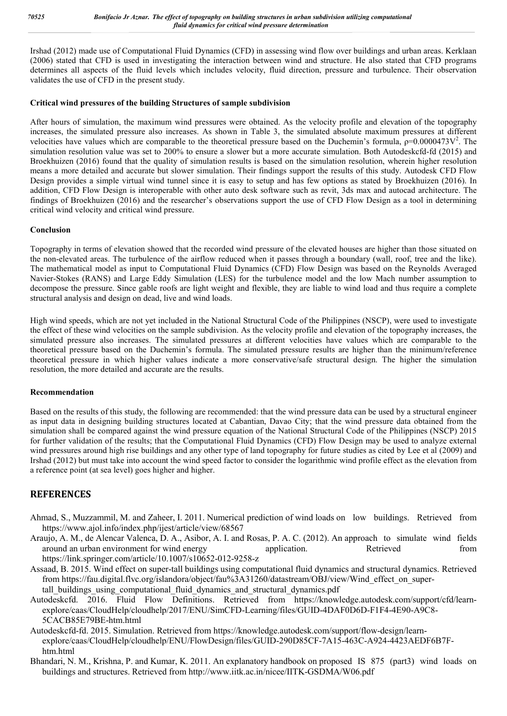Irshad (2012) made use of Computational Fluid Dynamics (CFD) in assessing wind flow over buildings and urban areas. Kerklaan (2006) stated that CFD is used in investigating the interaction between wind and structure. He also stated that CFD programs determines all aspects of the fluid levels which includes velocity, fluid direction, pressure and turbulence. Their observation validates the use of CFD in the present study.

### **Critical wind pressures of the building Structures of sample subdivision**

After hours of simulation, the maximum wind pressures were obtained. As the velocity profile and elevation of the topography increases, the simulated pressure also increases. As shown in Table 3, the simulated absolute maximum pressures at different velocities have values which are comparable to the theoretical pressure based on the Duchemin's formula,  $p=0.0000473V^2$ . The simulation resolution value was set to 200% to ensure a slower but a more accurate simulation. Both Autodeskcfd-fd (2015) and Broekhuizen (2016) found that the quality of simulation results is based on the simulation resolution, wherein higher resolution means a more detailed and accurate but slower simulation. Their findings support the results of this study. Autodesk CFD Flow Design provides a simple virtual wind tunnel since it is easy to setup and has few options as stated by Broekhuizen (2016). In addition, CFD Flow Design is interoperable with other auto desk software such as revit, 3ds max and autocad architecture. The findings of Broekhuizen (2016) and the researcher's observations support the use of CFD Flow Design as a tool in determining critical wind velocity and critical wind pressure.

### **Conclusion**

Topography in terms of elevation showed that the recorded wind pressure of the elevated houses are higher than those situated on the non-elevated areas. The turbulence of the airflow reduced when it passes through a boundary (wall, roof, tree and the like). The mathematical model as input to Computational Fluid Dynamics (CFD) Flow Design was based on the Reynolds Averaged Navier-Stokes (RANS) and Large Eddy Simulation (LES) for the turbulence model and the low Mach number assumption to decompose the pressure. Since gable roofs are light weight and flexible, they are liable to wind load and thus require a complete structural analysis and design on dead, live and wind loads.

High wind speeds, which are not yet included in the National Structural Code of the Philippines (NSCP), were used to investigate the effect of these wind velocities on the sample subdivision. As the velocity profile and elevation of the topography increases, the simulated pressure also increases. The simulated pressures at different velocities have values which are comparable to the theoretical pressure based on the Duchemin's formula. The simulated pressure results are higher than the minimum/reference theoretical pressure in which higher values indicate a more conservative/safe structural design. The higher the simulation resolution, the more detailed and accurate are the results.

### **Recommendation**

Based on the results of this study, the following are recommended: that the wind pressure data can be used by a structural engineer as input data in designing building structures located at Cabantian, Davao City; that the wind pressure data obtained from the simulation shall be compared against the wind pressure equation of the National Structural Code of the Philippines (NSCP) 2015 for further validation of the results; that the Computational Fluid Dynamics (CFD) Flow Design may be used to analyze external wind pressures around high rise buildings and any other type of land topography for future studies as cited by Lee et al (2009) and Irshad (2012) but must take into account the wind speed factor to consider the logarithmic wind profile effect as the elevation from a reference point (at sea level) goes higher and higher.

## **REFERENCES**

- Ahmad, S., Muzzammil, M. and Zaheer, I. 2011. Numerical prediction of wind loads on low buildings. Retrieved from https://www.ajol.info/index.php/ijest/article/view/68567
- Araujo, A. M., de Alencar Valenca, D. A., Asibor, A. I. and Rosas, P. A. C. (2012). An approach to simulate wind fields around an urban environment for wind energy application. Retrieved from https://link.springer.com/article/10.1007/s10652-012-9258-z
- Assaad, B. 2015. Wind effect on super-tall buildings using computational fluid dynamics and structural dynamics. Retrieved from https://fau.digital.flvc.org/islandora/object/fau%3A31260/datastream/OBJ/view/Wind\_effect\_on\_supertall buildings using computational fluid dynamics and structural dynamics.pdf
- Autodeskcfd. 2016. Fluid Flow Definitions. Retrieved from https://knowledge.autodesk.com/support/cfd/learnexplore/caas/CloudHelp/cloudhelp/2017/ENU/SimCFD-Learning/files/GUID-4DAF0D6D-F1F4-4E90-A9C8- 5CACB85E79BE-htm.html
- Autodeskcfd-fd. 2015. Simulation. Retrieved from https://knowledge.autodesk.com/support/flow-design/learnexplore/caas/CloudHelp/cloudhelp/ENU/FlowDesign/files/GUID-290D85CF-7A15-463C-A924-4423AEDF6B7Fhtm.html
- Bhandari, N. M., Krishna, P. and Kumar, K. 2011. An explanatory handbook on proposed IS 875 (part3) wind loads on buildings and structures. Retrieved from http://www.iitk.ac.in/nicee/IITK-GSDMA/W06.pdf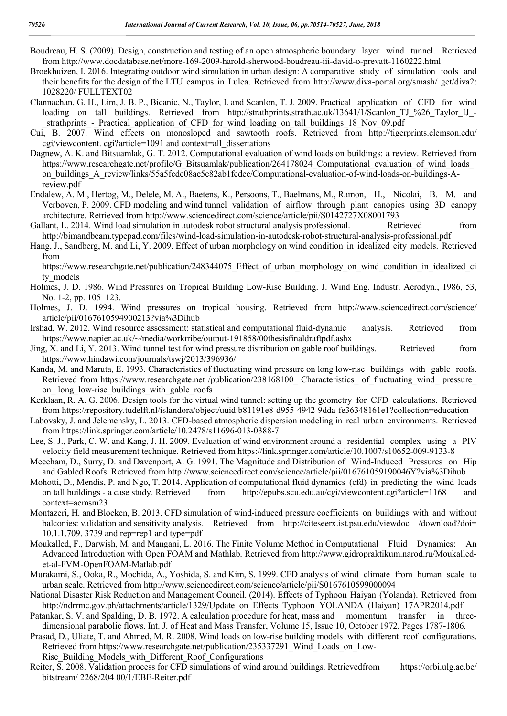- Boudreau, H. S. (2009). Design, construction and testing of an open atmospheric boundary layer wind tunnel. Retrieved from http://www.docdatabase.net/more-169-2009-harold-sherwood-boudreau-iii-david-o-prevatt-1160222.html
- Broekhuizen, I. 2016. Integrating outdoor wind simulation in urban design: A comparative study of simulation tools and their benefits for the design of the LTU campus in Lulea. Retrieved from http://www.diva-portal.org/smash/ get/diva2: 1028220/ FULLTEXT02
- Clannachan, G. H., Lim, J. B. P., Bicanic, N., Taylor, I. and Scanlon, T. J. 2009. Practical application of CFD for wind loading on tall buildings. Retrieved from http://strathprints.strath.ac.uk/13641/1/Scanlon\_TJ\_%26\_Taylor\_IJ\_strathprints - Practical application of CFD for wind loading on tall buildings 18 Nov 09.pdf
- Cui, B. 2007. Wind effects on monosloped and sawtooth roofs. Retrieved from http://tigerprints.clemson.edu/ cgi/viewcontent. cgi?article=1091 and context=all\_dissertations
- Dagnew, A. K. and Bitsuamlak, G. T. 2012. Computational evaluation of wind loads on buildings: a review. Retrieved from https://www.researchgate.net/profile/G\_Bitsuamlak/publication/264178024\_Computational\_evaluation\_of\_wind\_loads on\_buildings\_A\_review/links/55a5fcdc08ae5e82ab1fcdee/Computational-evaluation-of-wind-loads-on-buildings-Areview.pdf
- Endalew, A. M., Hertog, M., Delele, M. A., Baetens, K., Persoons, T., Baelmans, M., Ramon, H., Nicolai, B. M. and Verboven, P. 2009. CFD modeling and wind tunnel validation of airflow through plant canopies using 3D canopy architecture. Retrieved from http://www.sciencedirect.com/science/article/pii/S0142727X08001793
- Gallant, L. 2014. Wind load simulation in autodesk robot structural analysis professional. Retrieved from http://bimandbeam.typepad.com/files/wind-load-simulation-in-autodesk-robot-structural-analysis-professional.pdf
- Hang, J., Sandberg, M. and Li, Y. 2009. Effect of urban morphology on wind condition in idealized city models. Retrieved from

https://www.researchgate.net/publication/248344075\_Effect\_of\_urban\_morphology\_on\_wind\_condition\_in\_idealized\_ci ty models

- Holmes, J. D. 1986. Wind Pressures on Tropical Building Low-Rise Building. J. Wind Eng. Industr. Aerodyn., 1986, 53, No. 1-2, pp. 105–123.
- Holmes, J. D. 1994. Wind pressures on tropical housing. Retrieved from http://www.sciencedirect.com/science/ article/pii/0167610594900213?via%3Dihub
- Irshad, W. 2012. Wind resource assessment: statistical and computational fluid-dynamic analysis. Retrieved from https://www.napier.ac.uk/~/media/worktribe/output-191858/00thesisfinaldraftpdf.ashx
- Jing, X. and Li, Y. 2013. Wind tunnel test for wind pressure distribution on gable roof buildings. Retrieved from https://www.hindawi.com/journals/tswj/2013/396936/
- Kanda, M. and Maruta, E. 1993. Characteristics of fluctuating wind pressure on long low-rise buildings with gable roofs. Retrieved from https://www.researchgate.net /publication/238168100\_Characteristics\_ of\_fluctuating\_wind\_ pressure\_ on long low-rise buildings with gable roofs
- Kerklaan, R. A. G. 2006. Design tools for the virtual wind tunnel: setting up the geometry for CFD calculations. Retrieved from https://repository.tudelft.nl/islandora/object/uuid:b81191e8-d955-4942-9dda-fe36348161e1?collection=education
- Labovsky, J. and Jelemensky, L. 2013. CFD-based atmospheric dispersion modeling in real urban environments. Retrieved from https://link.springer.com/article/10.2478/s11696-013-0388-7
- Lee, S. J., Park, C. W. and Kang, J. H. 2009. Evaluation of wind environment around a residential complex using a PIV velocity field measurement technique. Retrieved from https://link.springer.com/article/10.1007/s10652-009-9133-8
- Meecham, D., Surry, D. and Davenport, A. G. 1991. The Magnitude and Distribution of Wind-Induced Pressures on Hip and Gabled Roofs. Retrieved from http://www.sciencedirect.com/science/article/pii/016761059190046Y?via%3Dihub
- Mohotti, D., Mendis, P. and Ngo, T. 2014. Application of computational fluid dynamics (cfd) in predicting the wind loads on tall buildings - a case study. Retrieved from http://epubs.scu.edu.au/cgi/viewcontent.cgi?article=1168 and context=acmsm23
- Montazeri, H. and Blocken, B. 2013. CFD simulation of wind-induced pressure coefficients on buildings with and without balconies: validation and sensitivity analysis. Retrieved from http://citeseerx.ist.psu.edu/viewdoc /download?doi= 10.1.1.709. 3739 and rep=rep1 and type=pdf
- Moukalled, F., Darwish, M. and Mangani, L. 2016. The Finite Volume Method in Computational Fluid Dynamics: An Advanced Introduction with Open FOAM and Mathlab. Retrieved from http://www.gidropraktikum.narod.ru/Moukalledet-al-FVM-OpenFOAM-Matlab.pdf
- Murakami, S., Ooka, R., Mochida, A., Yoshida, S. and Kim, S. 1999. CFD analysis of wind climate from human scale to urban scale. Retrieved from http://www.sciencedirect.com/science/article/pii/S0167610599000094
- National Disaster Risk Reduction and Management Council. (2014). Effects of Typhoon Haiyan (Yolanda). Retrieved from http://ndrrmc.gov.ph/attachments/article/1329/Update\_on\_Effects\_Typhoon\_YOLANDA\_(Haiyan)\_17APR2014.pdf
- Patankar, S. V. and Spalding, D. B. 1972. A calculation procedure for heat, mass and momentum transfer in threedimensional parabolic flows. Int. J. of Heat and Mass Transfer, Volume 15, Issue 10, October 1972, Pages 1787-1806.
- Prasad, D., Uliate, T. and Ahmed, M. R. 2008. Wind loads on low-rise building models with different roof configurations. Retrieved from https://www.researchgate.net/publication/235337291\_Wind\_Loads\_on\_Low-Rise Building Models with Different Roof Configurations
- Reiter, S. 2008. Validation process for CFD simulations of wind around buildings. Retrievedfrom https://orbi.ulg.ac.be/ bitstream/ 2268/204 00/1/EBE-Reiter.pdf